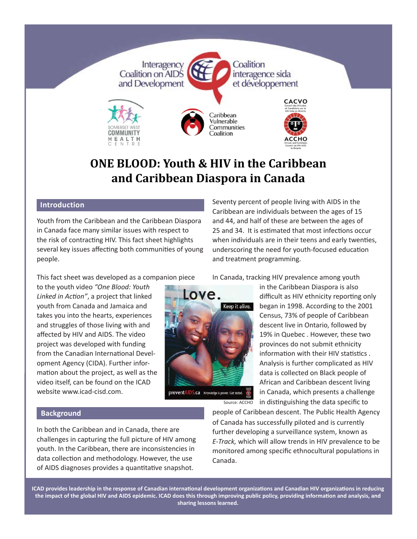

# **ONE BLOOD: Youth & HIV in the Caribbean and Caribbean Diaspora in Canada**

# **Introduction**

Youth from the Caribbean and the Caribbean Diaspora in Canada face many similar issues with respect to the risk of contracting HIV. This fact sheet highlights several key issues affecting both communities of young people.

Seventy percent of people living with AIDS in the Caribbean are individuals between the ages of 15 and 44, and half of these are between the ages of 25 and 34. It is estimated that most infections occur when individuals are in their teens and early twenties, underscoring the need for youth-focused education and treatment programming.

This fact sheet was developed as a companion piece

to the youth video *"One Blood: Youth*  Linked in Action", a project that linked youth from Canada and Jamaica and takes you into the hearts, experiences and struggles of those living with and affected by HIV and AIDS. The video project was developed with funding from the Canadian International Development Agency (CIDA). Further information about the project, as well as the video itself, can be found on the ICAD website www.icad-cisd.com.



preventAIDS.ca Knowledge is power. Get tested.

Source: ACCHO

In Canada, tracking HIV prevalence among youth

in the Caribbean Diaspora is also difficult as HIV ethnicity reporting only began in 1998. According to the 2001 Census, 73% of people of Caribbean descent live in Ontario, followed by 19% in Quebec . However, these two provinces do not submit ethnicity information with their HIV statistics. Analysis is further complicated as HIV data is collected on Black people of African and Caribbean descent living in Canada, which presents a challenge in distinguishing the data specific to

#### **Background**

In both the Caribbean and in Canada, there are challenges in capturing the full picture of HIV among youth. In the Caribbean, there are inconsistencies in data collection and methodology. However, the use of AIDS diagnoses provides a quantitative snapshot.

people of Caribbean descent. The Public Health Agency of Canada has successfully piloted and is currently further developing a surveillance system, known as *E-Track,* which will allow trends in HIV prevalence to be monitored among specific ethnocultural populations in Canada.

**ICAD provides leadership in the response of Canadian internati onal development organizati ons and Canadian HIV organizati ons in reducing the impact of the global HIV and AIDS epidemic. ICAD does this through improving public policy, providing informati on and analysis, and sharing lessons learned.**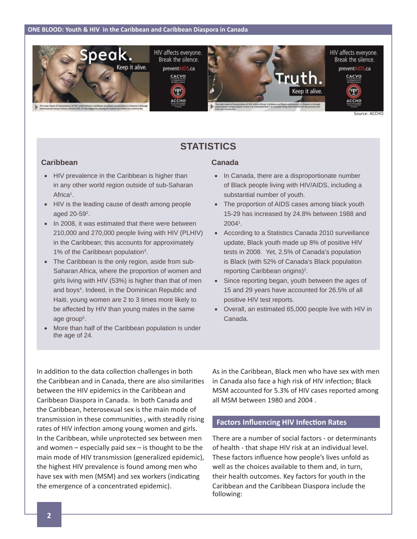

# **STATISTICS**

#### **Caribbean**

- HIV prevalence in the Caribbean is higher than in any other world region outside of sub-Saharan Africa<sup>1</sup>.
- HIV is the leading cause of death among people aged 20-59<sup>2</sup>.
- In 2008, it was estimated that there were between 210,000 and 270,000 people living with HIV (PLHIV) in the Caribbean; this accounts for approximately 1% of the Caribbean population<sup>3</sup>.
- The Caribbean is the only region, aside from sub-Saharan Africa, where the proportion of women and girls living with HIV (53%) is higher than that of men and boys<sup>4</sup>. Indeed, in the Dominican Republic and Haiti, young women are 2 to 3 times more likely to be affected by HIV than young males in the same age group<sup>5</sup>.
- More than half of the Caribbean population is under the age of 24.

### **Canada**

- In Canada, there are a disproportionate number of Black people living with HIV/AIDS, including a substantial number of youth.
- The proportion of AIDS cases among black youth 15-29 has increased by 24.8% between 1988 and 20041 .
- According to a Statistics Canada 2010 surveillance update, Black youth made up 8% of positive HIV tests in 2008. Yet, 2.5% of Canada's population is Black (with 52% of Canada's Black population reporting Caribbean origins)<sup>2</sup>.
- Since reporting began, youth between the ages of 15 and 29 years have accounted for 26.5% of all positive HIV test reports.
- Overall, an estimated 65,000 people live with HIV in Canada.

In addition to the data collection challenges in both the Caribbean and in Canada, there are also similarities between the HIV epidemics in the Caribbean and Caribbean Diaspora in Canada. In both Canada and the Caribbean, heterosexual sex is the main mode of transmission in these communities, with steadily rising rates of HIV infection among young women and girls. In the Caribbean, while unprotected sex between men and women – especially paid sex – is thought to be the main mode of HIV transmission (generalized epidemic), the highest HIV prevalence is found among men who have sex with men (MSM) and sex workers (indicating the emergence of a concentrated epidemic).

As in the Caribbean, Black men who have sex with men in Canada also face a high risk of HIV infection; Black MSM accounted for 5.3% of HIV cases reported among all MSM between 1980 and 2004 .

#### **Factors Influencing HIV Infection Rates**

There are a number of social factors - or determinants of health - that shape HIV risk at an individual level. These factors influence how people's lives unfold as well as the choices available to them and, in turn, their health outcomes. Key factors for youth in the Caribbean and the Caribbean Diaspora include the following: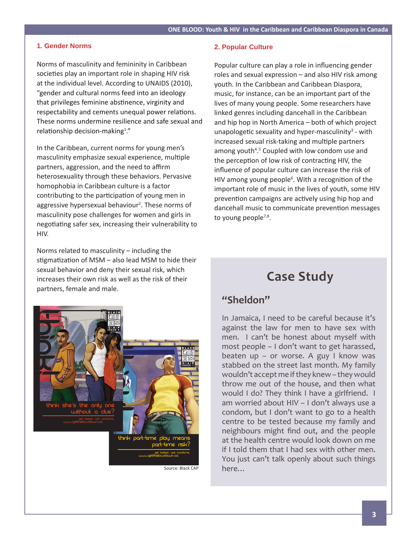#### **1. Gender Norms**

Norms of masculinity and femininity in Caribbean societies play an important role in shaping HIV risk at the individual level. According to UNAIDS (2010), "gender and cultural norms feed into an ideology that privileges feminine abstinence, virginity and respectability and cements unequal power relations. These norms undermine resilience and safe sexual and relationship decision-making<sup>1</sup>."

In the Caribbean, current norms for young men's masculinity emphasize sexual experience, multiple partners, aggression, and the need to affirm heterosexuality through these behaviors. Pervasive homophobia in Caribbean culture is a factor contributing to the participation of young men in aggressive hypersexual behaviour<sup>2</sup>. These norms of masculinity pose challenges for women and girls in negotiating safer sex, increasing their vulnerability to HIV.

Norms related to masculinity – including the stigmatization of MSM – also lead MSM to hide their sexual behavior and deny their sexual risk, which increases their own risk as well as the risk of their partners, female and male.



Source: Black CAP

#### **2. Popular Culture**

Popular culture can play a role in influencing gender roles and sexual expression – and also HIV risk among youth. In the Caribbean and Caribbean Diaspora, music, for instance, can be an important part of the lives of many young people. Some researchers have linked genres including dancehall in the Caribbean and hip hop in North America – both of which project unapologetic sexuality and hyper-masculinity<sup>3</sup> - with increased sexual risk-taking and multiple partners among youth<sup>4</sup>.<sup>5</sup> Coupled with low condom use and the perception of low risk of contracting HIV, the influence of popular culture can increase the risk of HIV among young people<sup>6</sup>. With a recognition of the important role of music in the lives of youth, some HIV prevention campaigns are actively using hip hop and dancehall music to communicate prevention messages to young people<sup>7,8</sup>.

# **Case Study**

# **"Sheldon"**

In Jamaica, I need to be careful because it's against the law for men to have sex with men. I can't be honest about myself with most people – I don't want to get harassed, beaten up – or worse. A guy I know was stabbed on the street last month. My family wouldn't accept me if they knew – they would throw me out of the house, and then what would I do? They think I have a girlfriend. I am worried about HIV – I don't always use a condom, but I don't want to go to a health centre to be tested because my family and neighbours might find out, and the people at the health centre would look down on me if I told them that I had sex with other men. You just can't talk openly about such things here…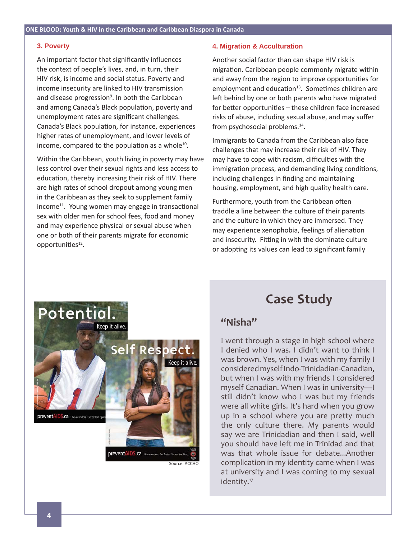#### **3. Poverty**

An important factor that significantly influences the context of people's lives, and, in turn, their HIV risk, is income and social status. Poverty and income insecurity are linked to HIV transmission and disease progression<sup>9</sup>. In both the Caribbean and among Canada's Black population, poverty and unemployment rates are significant challenges. Canada's Black population, for instance, experiences higher rates of unemployment, and lower levels of income, compared to the population as a whole $10$ .

Within the Caribbean, youth living in poverty may have less control over their sexual rights and less access to education, thereby increasing their risk of HIV. There are high rates of school dropout among young men in the Caribbean as they seek to supplement family  $income<sup>11</sup>$ . Young women may engage in transactional sex with older men for school fees, food and money and may experience physical or sexual abuse when one or both of their parents migrate for economic opportunities<sup>12</sup>.

#### **4. Migration & Acculturation**

Another social factor than can shape HIV risk is migration. Caribbean people commonly migrate within and away from the region to improve opportunities for employment and education $13$ . Sometimes children are left behind by one or both parents who have migrated for better opportunities – these children face increased risks of abuse, including sexual abuse, and may suffer from psychosocial problems.<sup>14</sup>.

Immigrants to Canada from the Caribbean also face challenges that may increase their risk of HIV. They may have to cope with racism, difficulties with the immigration process, and demanding living conditions, including challenges in finding and maintaining housing, employment, and high quality health care.

Furthermore, youth from the Caribbean often traddle a line between the culture of their parents and the culture in which they are immersed. They may experience xenophobia, feelings of alienation and insecurity. Fitting in with the dominate culture or adopting its values can lead to significant family



# **Case Study**

# **"Nisha"**

I went through a stage in high school where I denied who I was. I didn't want to think I was brown. Yes, when I was with my family I considered myself Indo-Trinidadian-Canadian, but when I was with my friends I considered myself Canadian. When I was in university—I still didn't know who I was but my friends were all white girls. It's hard when you grow up in a school where you are pretty much the only culture there. My parents would say we are Trinidadian and then I said, well you should have left me in Trinidad and that was that whole issue for debate...Another complication in my identity came when I was at university and I was coming to my sexual identity.<sup>17</sup>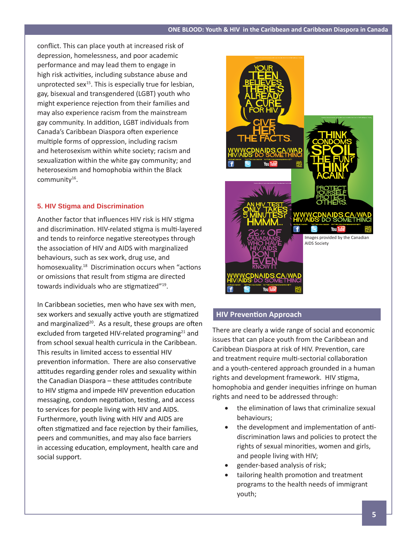conflict. This can place youth at increased risk of depression, homelessness, and poor academic performance and may lead them to engage in high risk activities, including substance abuse and unprotected sex $15$ . This is especially true for lesbian, gay, bisexual and transgendered (LGBT) youth who might experience rejection from their families and may also experience racism from the mainstream gay community. In addition, LGBT individuals from Canada's Caribbean Diaspora often experience multiple forms of oppression, including racism and heterosexism within white society; racism and sexualization within the white gay community; and heterosexism and homophobia within the Black community<sup>16</sup>.

## **5. HIV Stigma and Discrimination**

Another factor that influences HIV risk is HIV stigma and discrimination. HIV-related stigma is multi-layered and tends to reinforce negative stereotypes through the association of HIV and AIDS with marginalized behaviours, such as sex work, drug use, and homosexuality.<sup>18</sup> Discrimination occurs when "actions" or omissions that result from stigma are directed towards individuals who are stigmatized"<sup>19</sup>.

In Caribbean societies, men who have sex with men, sex workers and sexually active youth are stigmatized and marginalized $20$ . As a result, these groups are often excluded from targeted HIV-related programing<sup>21</sup> and from school sexual health curricula in the Caribbean. This results in limited access to essential HIV prevention information. There are also conservative attitudes regarding gender roles and sexuality within the Canadian Diaspora - these attitudes contribute to HIV stigma and impede HIV prevention education messaging, condom negotiation, testing, and access to services for people living with HIV and AIDS. Furthermore, youth living with HIV and AIDS are often stigmatized and face rejection by their families, peers and communities, and may also face barriers in accessing education, employment, health care and social support.



# **HIV Preventi on Approach**

There are clearly a wide range of social and economic issues that can place youth from the Caribbean and Caribbean Diaspora at risk of HIV. Prevention, care and treatment require multi-sectorial collaboration and a youth-centered approach grounded in a human rights and development framework. HIV stigma, homophobia and gender inequities infringe on human rights and need to be addressed through:

- the elimination of laws that criminalize sexual behaviours;
- the development and implementation of antidiscrimination laws and policies to protect the rights of sexual minorities, women and girls, and people living with HIV;
- gender-based analysis of risk;
- tailoring health promotion and treatment programs to the health needs of immigrant youth;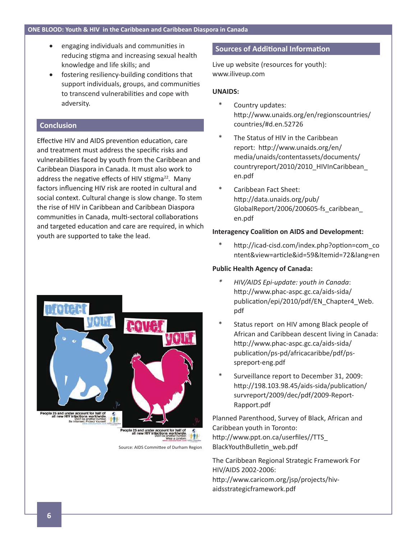- $\bullet$  engaging individuals and communities in reducing stigma and increasing sexual health knowledge and life skills; and
- fostering resiliency-building conditions that support individuals, groups, and communities to transcend vulnerabilities and cope with adversity.

### **Conclusion**

Effective HIV and AIDS prevention education, care and treatment must address the specific risks and vulnerabilities faced by youth from the Caribbean and Caribbean Diaspora in Canada. It must also work to address the negative effects of HIV stigma $^{22}$ . Many factors influencing HIV risk are rooted in cultural and social context. Cultural change is slow change. To stem the rise of HIV in Caribbean and Caribbean Diaspora communities in Canada, multi-sectoral collaborations and targeted education and care are required, in which youth are supported to take the lead.



Live up website (resources for youth): www.iliveup.com

#### **UNAIDS:**

- Country updates: http://www.unaids.org/en/regionscountries/ countries/#d.en.52726
- \* The Status of HIV in the Caribbean report: http://www.unaids.org/en/ media/unaids/contentassets/documents/ countryreport/2010/2010\_HIVInCaribbean\_ en.pdf
- \* Caribbean Fact Sheet: http://data.unaids.org/pub/ GlobalReport/2006/200605-fs\_caribbean\_ en.pdf

#### **Interagency Coalition on AIDS and Development:**

http://icad-cisd.com/index.php?option=com\_co ntent&view=article&id=59&Itemid=72&lang=en

### **Public Health Agency of Canada:**

- *\* HIV/AIDS Epi-update: youth in Canada*: http://www.phac-aspc.gc.ca/aids-sida/ publication/epi/2010/pdf/EN\_Chapter4\_Web. pdf
- Status report on HIV among Black people of African and Caribbean descent living in Canada: http://www.phac-aspc.gc.ca/aids-sida/ publication/ps-pd/africacaribbe/pdf/psspreport-eng.pdf
- Surveillance report to December 31, 2009: http://198.103.98.45/aids-sida/publication/ survreport/2009/dec/pdf/2009-Report-Rapport.pdf

Planned Parenthood, Survey of Black, African and Caribbean youth in Toronto: http://www.ppt.on.ca/userfiles//TTS\_ BlackYouthBulletin web.pdf

The Caribbean Regional Strategic Framework For HIV/AIDS 2002-2006: http://www.caricom.org/jsp/projects/hivaidsstrategicframework.pdf



Source: AIDS Committee of Durham Region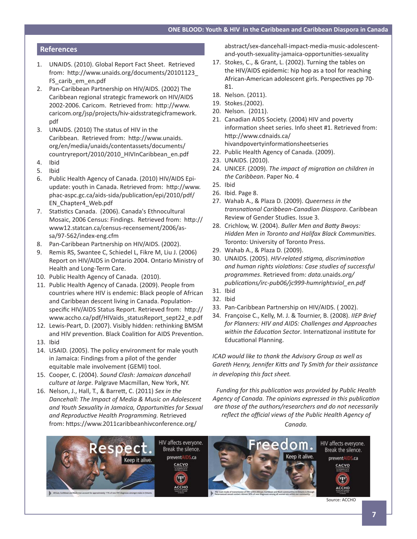#### **References**

- 1. UNAIDS. (2010). Global Report Fact Sheet. Retrieved from: http://www.unaids.org/documents/20101123\_ FS\_carib\_em\_en.pdf
- 2. Pan-Caribbean Partnership on HIV/AIDS. (2002) The Caribbean regional strategic framework on HIV/AIDS 2002-2006. Caricom. Retrieved from: http://www. caricom.org/jsp/projects/hiv-aidsstrategicframework. pdf
- 3. UNAIDS. (2010) The status of HIV in the Caribbean. Retrieved from: http://www.unaids. org/en/media/unaids/contentassets/documents/ countryreport/2010/2010\_HIVInCaribbean\_en.pdf
- 4. Ibid
- 5. Ibid
- 6. Public Health Agency of Canada. (2010) HIV/AIDS Epiupdate: youth in Canada. Retrieved from: http://www. phac-aspc.gc.ca/aids-sida/publication/epi/2010/pdf/ EN\_Chapter4\_Web.pdf
- 7. Statistics Canada. (2006). Canada's Ethnocultural Mosaic, 2006 Census: Findings. Retrieved from: http:// www12.statcan.ca/census-recensement/2006/assa/97-562/index-eng.cfm
- 8. Pan-Caribbean Partnership on HIV/AIDS. (2002).
- 9. Remis RS, Swantee C, Schiedel L, Fikre M, Liu J. (2006) Report on HIV/AIDS in Ontario 2004. Ontario Ministry of Health and Long-Term Care.
- 10. Public Health Agency of Canada. (2010).
- 11. Public Health Agency of Canada. (2009). People from countries where HIV is endemic: Black people of African and Caribbean descent living in Canada. Populationspecific HIV/AIDS Status Report. Retrieved from: http:// www.accho.ca/pdf/HIVaids\_statusReport\_sept22\_e.pdf
- 12. Lewis-Peart, D. (2007). Visibly hidden: rethinking BMSM and HIV prevention. Black Coalition for AIDS Prevention.
- 13. Ibid
- 14. USAID. (2005). The policy environment for male youth in Jamaica: Findings from a pilot of the gender equitable male involvement (GEMI) tool.
- 15. Cooper, C. (2004). *Sound Clash: Jamaican dancehall culture at large*. Palgrave Macmillan, New York, NY.
- 16. Nelson, J., Hall, T., & Barrett , C. (2011) *Sex in the Dancehall: The Impact of Media & Music on Adolescent and Youth Sexuality in Jamaica, Opportuniti es for Sexual and Reproductive Health Programming. Retrieved* from: https://www.2011caribbeanhivconference.org/

abstract/sex-dancehall-impact-media-music-adolescentand-youth-sexuality-jamaica-opportunities-sexuality

- 17. Stokes, C., & Grant, L. (2002). Turning the tables on the HIV/AIDS epidemic: hip hop as a tool for reaching African-American adolescent girls. Perspectives pp 70-81.
- 18. Nelson. (2011).
- 19. Stokes.(2002).
- 20. Nelson. (2011).
- 21. Canadian AIDS Society. (2004) HIV and poverty information sheet series. Info sheet #1. Retrieved from: http://www.cdnaids.ca/ hivandpovertyinformationsheetseries
- 22. Public Health Agency of Canada. (2009).
- 23. UNAIDS. (2010).
- 24. UNICEF. (2009). *The impact of migrati on on children in the Caribbean*. Paper No. 4
- 25. Ibid
- 26. Ibid. Page 8.
- 27. Wahab A., & Plaza D. (2009). *Queerness in the transnati onal Caribbean-Canadian Diaspora*. Caribbean Review of Gender Studies. Issue 3.
- 28. Crichlow, W. (2004). *Buller Men and Batty Bwoys: Hidden Men in Toronto and Halifax Black Communities.* Toronto: University of Toronto Press.
- 29. Wahab A., & Plaza D. (2009).
- 30. UNAIDS. (2005). *HIV-related stigma, discrimination and human rights violati ons: Case studies of successful programmes*. Retrieved from: *data.*unaids.*org/ publicati ons/irc-pub06/jc999-humrightsviol\_en.pdf*
- 31. Ibid
- 32. Ibid
- 33. Pan-Caribbean Partnership on HIV/AIDS. ( 2002).
- 34. Françoise C., Kelly, M. J. & Tournier, B. (2008). *IIEP Brief for Planners: HIV and AIDS: Challenges and Approaches within the Education Sector.* Internatizonal institute for Educational Planning.

*ICAD would like to thank the Advisory Group as well as Gareth Henry, Jennifer Kitt s and Ty Smith for their assistance in developing this fact sheet.* 

*Funding for this publication was provided by Public Health* Agency of Canada. The opinions expressed in this publication *are those of the authors/researchers and do not necessarily refl ect the offi cial views of the Public Health Agency of* 

*Canada.* 



Source: ACCHO